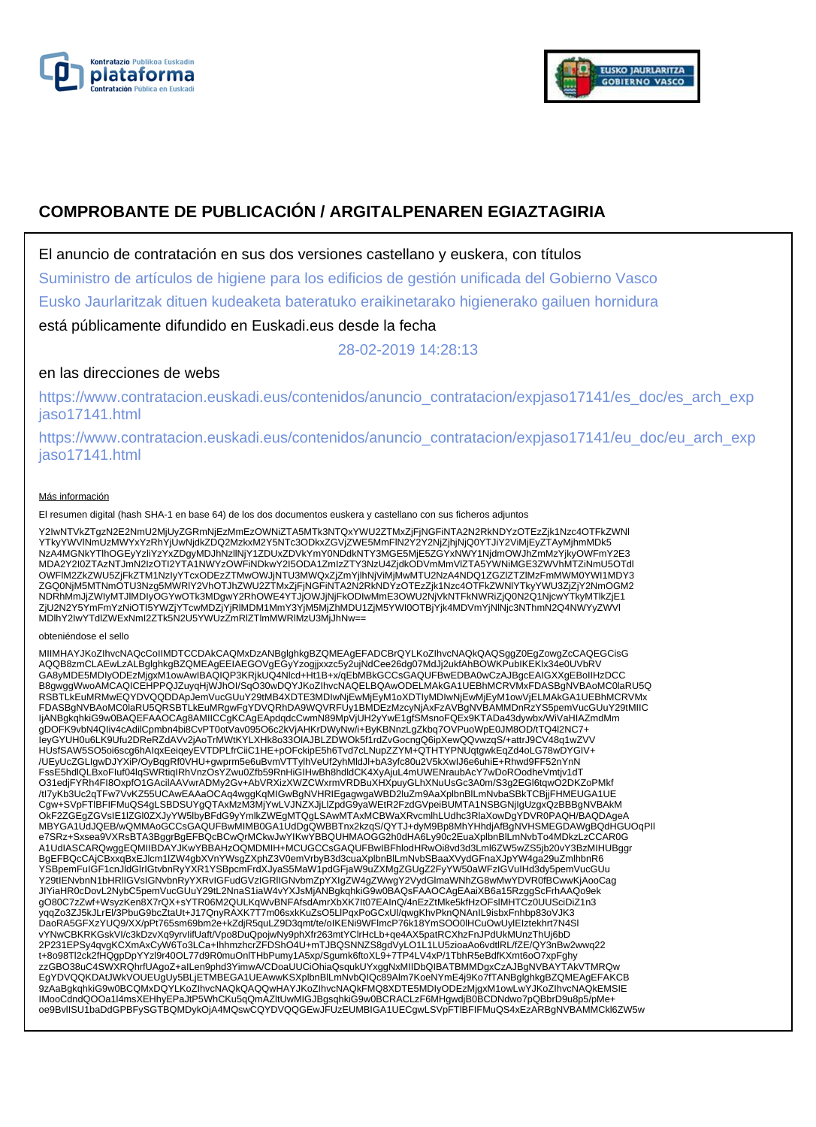



# **COMPROBANTE DE PUBLICACIÓN / ARGITALPENAREN EGIAZTAGIRIA**

El anuncio de contratación en sus dos versiones castellano y euskera, con títulos

Suministro de artículos de higiene para los edificios de gestión unificada del Gobierno Vasco

Eusko Jaurlaritzak dituen kudeaketa bateratuko eraikinetarako higienerako gailuen hornidura

está públicamente difundido en Euskadi.eus desde la fecha

28-02-2019 14:28:13

## en las direcciones de webs

https://www.contratacion.euskadi.eus/contenidos/anuncio\_contratacion/expjaso17141/es\_doc/es\_arch\_exp jaso17141.html

https://www.contratacion.euskadi.eus/contenidos/anuncio\_contratacion/expjaso17141/eu\_doc/eu\_arch\_exp jaso17141.html

### Más información

El resumen digital (hash SHA-1 en base 64) de los dos documentos euskera y castellano con sus ficheros adjuntos

Y2IwNTVkZTgzN2E2NmU2MjUyZGRmNjEzMmEzOWNiZTA5MTk3NTQxYWU2ZTMxZjFjNGFiNTA2N2RkNDYzOTEzZjk1Nzc4OTFkZWNI<br>YTkyYWVlNmUzMWYxYzRhYjUwNjdkZDQ2MzkxM2Y5NTc3ODkxZGVjZWE5MmFlN2Y2Y2NjZjhjNjQ0YTJiY2ViMjEyZTAyMjhmMDk5 NzA4MGNkYTlhOGEyYzliYzYxZDgyMDJhNzllNjY1ZDUxZDVkYmY0NDdkNTY3MGE5MjE5ZGYxNWY1NjdmOWJhZmMzYjkyOWFmY2E3 MDA2Y2I0ZTAzNTJmN2IzOTI2YTA1NWYzOWFiNDkwY2I5ODA1ZmIzZTY3NzU4ZjdkODVmMmVlZTA5YWNiMGE3ZWVhMTZiNmU5OTdl OWFlM2ZkZWU5ZjFkZTM1NzIyYTcxODEzZTMwOWJjNTU3MWQxZjZmYjlhNjViMjMwMTU2NzA4NDQ1ZGZlZTZlMzFmMWM0YWI1MDY3 ZGQ0NjM5MTNmOTU3Nzg5MWRlY2VhOTJhZWU2ZTMxZjFjNGFiNTA2N2RkNDYzOTEzZjk1Nzc4OTFkZWNlYTkyYWU3ZjZjY2NmOGM2 NDRhMmJjZWIyMTJlMDIyOGYwOTk3MDgwY2RhOWE4YTJjOWJjNjFkODIwMmE3OWU2NjVkNTFkNWRiZjQ0N2Q1NjcwYTkyMTlkZjE1 ZjU2N2Y5YmFmYzNiOTI5YWZjYTcwMDZjYjRlMDM1MmY3YjM5MjZhMDU1ZjM5YWI0OTBjYjk4MDVmYjNlNjc3NThmN2Q4NWYyZWVl MDlhY2IwYTdlZWExNmI2ZTk5N2U5YWUzZmRlZTlmMWRlMzU3MjJhNw==

obteniéndose el sello

MIIMHAYJKoZIhvcNAQcCoIIMDTCCDAkCAQMxDzANBglghkgBZQMEAgEFADCBrQYLKoZIhvcNAQkQAQSggZ0EgZowgZcCAQEGCisG AQQB8zmCLAEwLzALBglghkgBZQMEAgEEIAEGOVgEGyYzogjjxxzc5y2ujNdCee26dg07MdJj2ukfAhBOWKPubIKEKlx34e0UVbRV GA8yMDE5MDIyODEzMjgxM1owAwIBAQIQP3KRjkUQ4Nlcd+Ht1B+x/qEbMBkGCCsGAQUFBwEDBA0wCzAJBgcEAIGXXgEBoIIHzDCC B8gwggWwoAMCAQICEHPPQJZuyqHjWJhOI/SqO30wDQYJKoZIhvcNAQELBQAwODELMAkGA1UEBhMCRVMxFDASBgNVBAoMC0laRU5Q RSBTLkEuMRMwEQYDVQQDDApJemVucGUuY29tMB4XDTE3MDIwNjEwMjEyM1oXDTIyMDIwNjEwMjEyM1owVjELMAkGA1UEBhMCRVMx<br>FDASBgNVBAoMC0laRU5QRSBTLkEuMRgwFgYDVQRhDA9WQVRFUy1BMDEzMzcyNjAxFzAVBgNVBAMMDnRzYS5pemVucGUuY29tMIIC IjANBgkqhkiG9w0BAQEFAAOCAg8AMIICCqKCAqEApdqdcCwmN89MpVjUH2yYwE1gfSMsnoFQEx9KTADa43dywbx/WiVaHIAZmdMm gDOFK9vbN4QIiv4cAdilCpmbn4bi8CvPT0otVav095O6c2kVjAHKrDWyNw/i+ByKBNnzLgZkbq7OVPuoWpE0JM8OD/tTQ4l2NC7+ IeyGYUH0u6LK9Ufu2DReRZdAVv2jAoTrMWtKYLXHk8o33OlAJBLZDWOk5f1rdZvGocngQ6ipXewQQvwzqS/+attrJ9CV48q1wZVV HUsfSAW5SO5oi6scg6hAIqxEeiqeyEVTDPLfrCiiC1HE+pOFckipE5h6Tvd7cLNupZZYM+QTHTYPNUqtgwkEqZd4oLG78wDYGIV+ /UEyUcZGLIgwDJYXiP/OyBqgRf0VHU+gwprm5e6uBvmVTTylhVeUf2yhMldJl+bA3yfc80u2V5kXwIJ6e6uhiE+Rhwd9FF52nYnN<br>FssE5hdlQLBxoFluf04lqSWRtiqIRhVnzOsYZwu0Zfb59RnHiGIHwBh8hdldCK4XyAjuL4mUWENraubAcY7wDoROodheVmtjv1dT O31edjFYRh4FI8OxpfO1GAcilAAVwrADMy2Gv+AbVRXizXWZCWxrmVRDBuXHXpuyGLhXNuUsGc3A0m/S3g2EGl6tqwO2DKZoPMkf<br>/tl7yKb3Uc2qTFw7VvKZ55UCAwEAAaOCAq4wggKqMlGwBgNVHRIEgagwgaWBD2luZm9AaXplbnBlLmNvbaSBkTCBjjFHMEUGA1UE Cgw+SVpFTlBFIFMuQS4gLSBDSUYgQTAxMzM3MjYwLVJNZXJjLlZpdG9yaWEtR2FzdGVpeiBUMTA1NSBGNjIgUzgxQzBBBgNVBAkM OkF2ZGEgZGVsIE1lZGl0ZXJyYW5lbyBFdG9yYmlkZWEgMTQgLSAwMTAxMCBWaXRvcmlhLUdhc3RlaXowDgYDVR0PAQH/BAQDAgeA MBYGA1UdJQEB/wQMMAoGCCsGAQUFBwMIMB0GA1UdDgQWBBTnx2kzqS/QYTJ+dyM9Bp8MhYHhdjAfBgNVHSMEGDAWgBQdHGUOqPIl e7SRz+Sxsea9VXRsBTA3BggrBgEFBQcBCwQrMCkwJwYIKwYBBQUHMAOGG2h0dHA6Ly90c2EuaXplbnBlLmNvbTo4MDkzLzCCAR0G A1UdIASCARQwggEQMIIBDAYJKwYBBAHzOQMDMIH+MCUGCCsGAQUFBwIBFhlodHRwOi8vd3d3Lml6ZW5wZS5jb20vY3BzMIHUBggr BgEFBQcCAjCBxxqBxEJlcm1lZW4gbXVnYWsgZXphZ3V0emVrbyB3d3cuaXplbnBlLmNvbSBaaXVydGFnaXJpYW4ga29uZmlhbnR6 YSBpemFuIGF1cnJldGlrIGtvbnRyYXR1YSBpcmFrdXJyaS5MaW1pdGFjaW9uZXMgZGUgZ2FyYW50aWFzIGVuIHd3dy5pemVucGUu<br>Y29tIENvbnN1bHRIIGVsIGNvbnRyYXRvIGFudGVzIGRIIGNvbmZpYXIgZW4gZWwgY2VydGlmaWNhZG8wMwYDVR0fBCwwKjAooCag JIYiaHR0cDovL2NybC5pemVucGUuY29tL2NnaS1iaW4vYXJsMjANBgkqhkiG9w0BAQsFAAOCAgEAaiXB6a15RzggScFrhAAQo9ek gO80C7zZwf+WsyzKen8X7rQX+sYTR06M2QULKqWvBNFAfsdAmrXbXK7It07EAInQ/4nEzZtMke5kfHzOFslMHTCz0UUSciDiZ1n3 yqqZo3ZJ5kJLrEl/3PbuG9bcZtaUt+J17QnyRAXK7T7m06sxkKuZsO5LlPqxPoGCxUl/qwgKhvPknQNAnIL9isbxFnhbp83oVJK3<br>DaoRA5GFXzYUQ9/XX/pPt765sm69bm2e+kZdjR5quLZ9D3qmt/te/oIKENi9WFlmcP76k18YmSOO0lHCuOwUylEIztekhrt7N4Sl vYNwCBKRKGskVI/c3kDzvXq9yrvIifUaft/Vpo8DuQpojwNy9phXfr263mtYClrHcLb+qe4AX5patRCXhzFnJPdUkMUnzThUj6bD 2P231EPSy4qvgKCXmAxCyW6To3LCa+IhhmzhcrZFDShO4U+mTJBQSNNZS8gdVyLO1L1LU5zioaAo6vdtlRL/fZE/QY3nBw2wwq22 t+8o98Tl2ck2fHQgpDpYYzl9r40OL77d9R0muOnlTHbPumy1A5xp/Sgumk6ftoXL9+7TP4LV4xP/1TbhR5eBdfKXmt6oO7xpFghy zzGBO38uC4SWXRQhrfUAgoZ+aILen9phd3YimwA/CDoaUUCiOhiaQsqukUYxggNxMIIDbQIBATBMMDgxCzAJBgNVBAYTAkVTMRQw EgYDVQQKDAtJWkVOUEUgUy5BLjETMBEGA1UEAwwKSXplbnBlLmNvbQlQc89Alm7KoeNYmE4j9Ko7fTANBglghkgBZQMEAgEFAKCB<br>9zAaBgkqhkiG9w0BCQMxDQYLKoZlhvcNAQkQAQQwHAYJKoZlhvcNAQkFMQ8XDTE5MDIyODEzMjgxM1owLwYJKoZlhvcNAQkEMSIE IMooCdndQOOa1l4msXEHhyEPaJtP5WhCKu5qQmAZltUwMIGJBgsqhkiG9w0BCRACLzF6MHgwdjB0BCDNdwo7pQBbrD9u8p5/pMe+ oe9BvlISU1baDdGPBFySGTBQMDykOjA4MQswCQYDVQQGEwJFUzEUMBIGA1UECgwLSVpFTlBFIFMuQS4xEzARBgNVBAMMCkl6ZW5w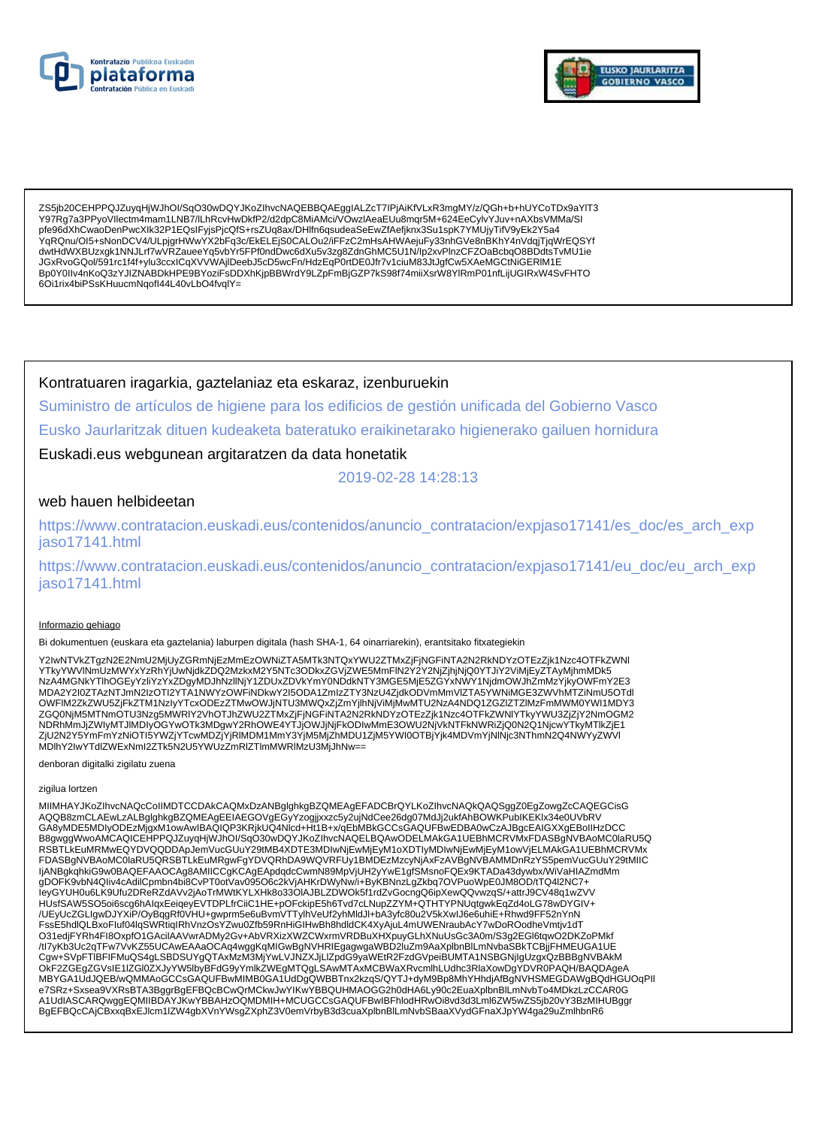



ZS5jb20CEHPPQJZuyqHjWJhOI/SqO30wDQYJKoZIhvcNAQEBBQAEggIALZcT7IPjAiKfVLxR3mgMY/z/QGh+b+hUYCoTDx9aYIT3<br>Y97Rg7a3PPyoVllectm4mam1LNB7/lLhRcvHwDkfP2/d2dpC8MiAMci/VOwzlAeaEUu8mqr5M+624EeCylvYJuv+nAXbsVMMa/SI pfe96dXhCwaoDenPwcXlk32P1EQslFyjsPjcQfS+rsZUq8ax/DHlfn6qsudeaSeEwZfAefjknx3Su1spK7YMUjyTifV9yEk2Y5a4 .<br>YqRQnu/OI5+sNonDCV4/ULpjgrHWwYX2bFq3c/EkELEjS0CALOu2/iFFzC2mHsAHWAejuFy33nhGVe8nBKhY4nVdqjTjqWrEQSYf dwtHdWXBUzxgk1NNJLrf7wVRZaueeYq5vbYr5FPf0ndDwc6dXu5v3zg8ZdnGhMC5U1N/lp2xvPlnzCFZOaBcbqO8BDdtsTvMU1ie JGxRvoGQol/591rc1f4f+ylu3ccxlCqXVVWAjIDeebJ5cD5wcFn/HdzEqP0rtDE0Jfr7v1ciuM83JtJgfCw5XAeMGCtNiGERIM1E Bp0Y0IIv4nKoQ3zYJIZNABDkHPE9BYoziFsDDXhKjpBBWrdY9LZpFmBjGZP7kS98f74miiXsrW8YlRmP01nfLijUGIRxW4SvFHTO 6Oi1rix4biPSsKHuucmNqofI44L40vLbO4fvqlY=

Kontratuaren iragarkia, gaztelaniaz eta eskaraz, izenburuekin

Suministro de artículos de higiene para los edificios de gestión unificada del Gobierno Vasco Eusko Jaurlaritzak dituen kudeaketa bateratuko eraikinetarako higienerako gailuen hornidura

Euskadi.eus webgunean argitaratzen da data honetatik

2019-02-28 14:28:13

### web hauen helbideetan

https://www.contratacion.euskadi.eus/contenidos/anuncio\_contratacion/expjaso17141/es\_doc/es\_arch\_exp jaso17141.html

https://www.contratacion.euskadi.eus/contenidos/anuncio\_contratacion/expjaso17141/eu\_doc/eu\_arch\_exp iaso17141.html

### Informazio gehiago

Bi dokumentuen (euskara eta gaztelania) laburpen digitala (hash SHA-1, 64 oinarriarekin), erantsitako fitxategiekin

Y2IwNTVkZTqzN2E2NmU2MjUyZGRmNjEzMmEzOWNiZTA5MTk3NTQxYWU2ZTMxZjFjNGFiNTA2N2RkNDYzOTEzZjk1Nzc4OTFkZWNI YTkyYWVINmUzMWYxYzRhYjUwNjdkZDQ2MzkxM2Y5NTc3ODkxZGVjZWE5MmFlN2Y2Y2NjZjhjNjQ0YTJiY2ViMjEyZTAyMjhmMDk5<br>NzA4MGNkYTlhOGEyYzliYzYxZDgyMDJhNzllNjY1ZDUxZDVkYmY0NDdkNTY3MGE5MjE5ZGYxNWY1NjdmOWJhZmMzYjkyOWFmY2E3 MDA2Y2I0ZTAzNTJmN2IzOTI2YTA1NWYzOWFiNDkwY2I5ODA1ZmIzZTY3NzU4ZjdkODVmMmVIZTA5YWNiMGE3ZWVhMTZiNmU5OTdl OWFIM2ZKZWU5ZJFKZTM1NzJyYTcxODEzZTMwOWJjNTU3MWQxZjZmYjlhNjViMjMwMTU2NzA4NDQ1ZGZIZTZIMzFmMWM0YWI1MDY3 ZGQ0NjM5MTNmOTU3Nzg5MWRIY2VhOTJhZWU2ZTMxZjFjNGFiNTA2N2RkNDYzOTEzZjk1Nzc4OTFkZWNIYTkyYWU3ZjZjY2NmOGM2 NDRhMmJjZWIyMTJIMDIyOGYwOTk3MDgwY2RhOWE4YTJjOWJjNjFkODIwMmE3OWU2NjVkNTFkNWRiZjQ0N2Q1NjcwYTKyMTlkZjE1 ZjU2N2Y5ÝmFmYzNiOTI5YWZjYTcwMDZjYjRIMDM1MmY3YjM5MjZhMDU1ZjM5YWI0OTBjYjk4MDVmYjNINjc3NThmN2Q4NWYyZWVI MDIhY2IwYTdlZWExNml2ZTk5N2U5YWUzZmRlZTlmMWRIMzU3MjJhNw==

denboran digitalki zigilatu zuena

#### zigilua lortzen

MIIMHAYJKoZIhvcNAQcCoIIMDTCCDAkCAQMxDzANBglghkgBZQMEAgEFADCBrQYLKoZIhvcNAQkQAQSggZ0EgZowgZcCAQEGCisG AQQB8zmCLAEwLzALBglghkgBZQMEAgEEIAEGOVgEĞyYzogjjxxzc5y2ujNdCee26dg07MdJj2ukfAhBOWKPubIKEKIx34e0UVbRV<br>GA8yMDE5MDIyODEzMjgxM1owAwIBAQIQP3KRjkUQ4Nlcd+Ht1B+x/qEbMBkGCCsGAQUFBwEDBA0wCzAJBgcEAIGXXgEBoIIHzDCC B8gwggWwoAMCAQICEHPPQJZuyqHjWJhOI/SqO30wDQYJKoZIhvcNAQELBQAwODELMAkGA1UEBhMCRVMxFDASBgNVBAoMC0laRU5Q RSBTLKEuMRMwEQYDVQQDDApJemVucGUuY29tMB4XDTE3MDIwNjEwMjEyM1oXDTIyMDIwNjEwMjEyM1owVjELMAkGA1UEBhMCRVMx FDASBgNVBAoMC0laRU5QRSBTLkEuMRgwFgYDVQRhDA9WQVRFUy1BMDEzMzcyNjAxFzAVBgNVBAMMDnRzYS5pemVucGUuY29tMIIC IjANBgkqhkiG9w0BAQEFAAOCAg8AMIICCgKCAgEApdqdcCwmN89MpVjUH2yYwE1gfSMsnoFQEx9KTADa43dywbx/WiVaHIAZmdMm gDOFK9vbN4Qliv4cAdilCpmbn4bi8CvPT0otVav095O6c2kVjAHKrDWyNw/i+ByKBNnzLgZkbq7OVPuoWpE0JM8OD/tTQ4l2NC7+ leyGYUH0u6LK9Ufu2DReRZdAVv2jAoTrMWtKYLXHk8o33OIAJBLZDWOk5f1rdZvGocngQ6ipXewQQvwzqS/+attrJ9CV48q1wZVV HUsfSAW5SO5oi6scg6hAlqxEeiqeyEVTDPLfrCiiC1HE+pOFckipE5h6Tvd7cLNupZZYM+QTHTYPNUqtgwkEqZd4oLG78wDYGIV+<br>/UEyUcZGLIgwDJYXiP/OyBqgRf0VHU+gwprm5e6uBvmVTTylhVeUf2yhMldJl+bA3yfc80u2V5kXwlJ6e6uhiE+Rhwd9FF52nYnN FssE5hdlQLBxoFluf04lqSWRtiqIRhVnzOsYZwu0Zfb59RnHiGIHwBh8hdldCK4XyAjuL4mUWENraubAcY7wDoROodheVmtjv1dT O31edjFYRh4Fl8OxpfO1GAcilAAVwrADMy2Gv+AbVRXizXWZCWxrmVRDBuXHXpuyGLhXNuUsGc3A0m/S3g2EGl6tqwO2DKZoPMkf /tl7yKb3Uc2qTFw7VvKZ55UCAwEAAaOCAq4wggKqMIGwBgNVHRIEgagwgaWBD2IuZm9AaXplbnBlLmNvbaSBkTCBjjFHMEUGA1UE Cgw+SVpFTIBFIFMuQS4gLSBDSUYgQTAxMzM3MjYwLVJNZXJjLlZpdG9yaWEtR2FzdGVpeiBUMTA1NSBGNjIgUzgxQzBBBgNVBAkM CONFIDENTIAL IN WARRY THE MAGNIFICATION IN THE UNIVERSITY AND CONFIDENT AND CONFIDENT AND CONFIDENT AND CONFIDENTIAL AND A CONFIDENTIAL CONFIDENTIAL CONFIDENTIAL CONFIDENTIAL CONFIDENTIAL CONFIDENTIAL CONFIDENTIAL CONFIDEN BgEFBQcCAjCBxxqBxEJlcm1lZW4gbXVnYWsgZXphZ3V0emVrbyB3d3cuaXplbnBlLmNvbSBaaXVydGFnaXJpYW4ga29uZmlhbnR6